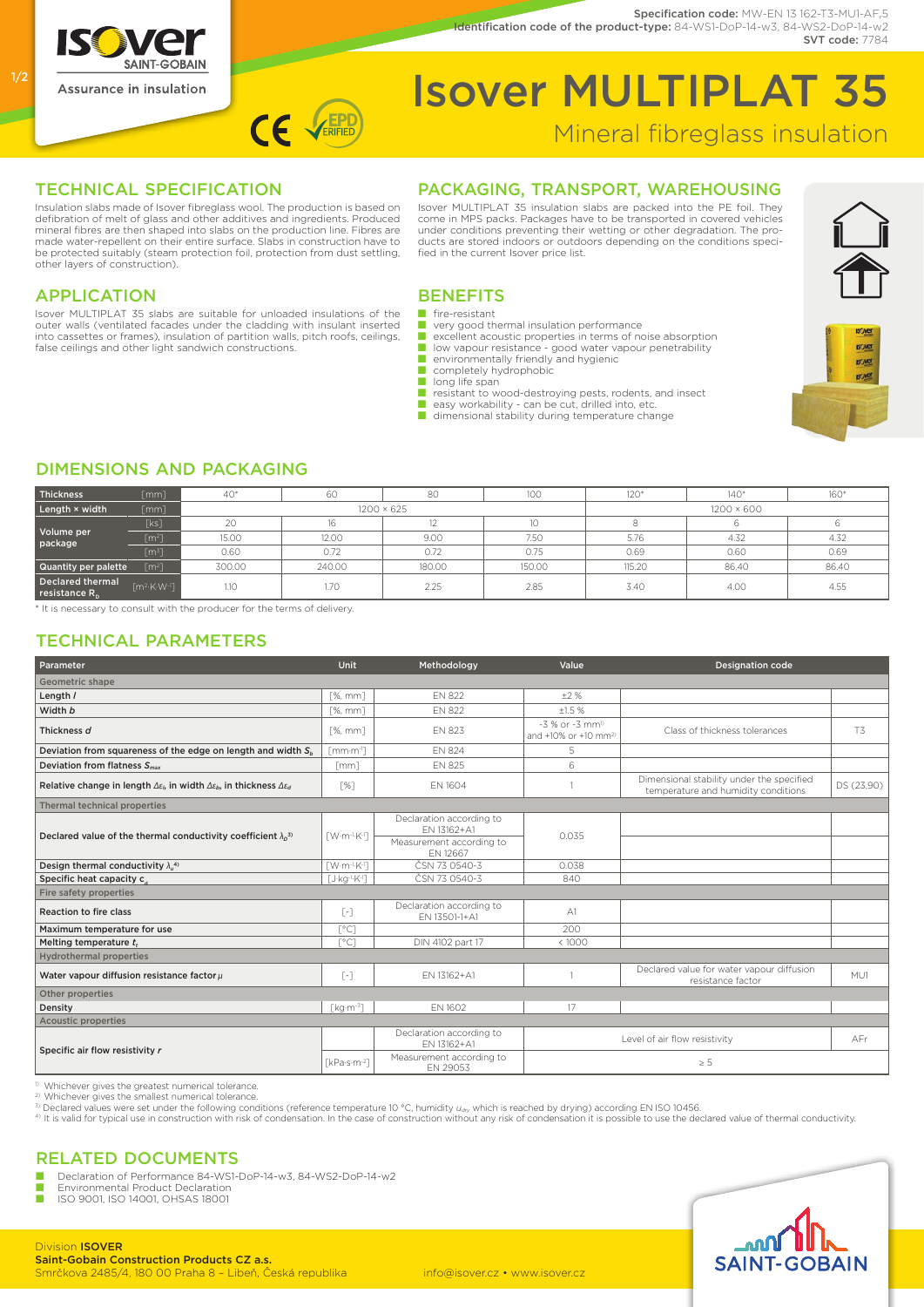

#### Specification code: MW-EN 13 162-T3-MU1-AF,5 Identification code of the product-type: 84-WS1-DoP-14-w3, 84-WS2-DoP-14-w2 SVT code: 7784

# Isover MULTIPLAT 35 Mineral fibreglass insulation

#### TECHNICAL SPECIFICATION

Insulation slabs made of Isover fibreglass wool. The production is based on defibration of melt of glass and other additives and ingredients. Produced mineral fibres are then shaped into slabs on the production line. Fibres are made water-repellent on their entire surface. Slabs in construction have to be protected suitably (steam protection foil, protection from dust settling, other layers of construction).

CE VERIFIEL

# Packaging, Transport, Warehousing Isover MULTIPLAT 35 insulation slabs are packed into the PE foil. They come in MPS packs. Packages have to be transported in covered vehicles

under conditions preventing their wetting or other degradation. The pro-ducts are stored indoors or outdoors depending on the conditions speci-



#### **APPLICATION**

Isover MULTIPLAT 35 slabs are suitable for unloaded insulations of the outer walls (ventilated facades under the cladding with insulant inserted into cassettes or frames), insulation of partition walls, pitch roofs, ceilings, false ceilings and other light sandwich constructions.

#### **BENEFITS**

- fire-resistant
- very good thermal insulation performance<br>■ excellent acoustic properties in terms of noise absorption
- low vapour resistance good water vapour penetrability
- $\blacksquare$  environmentally friendly and hygienic<br>  $\blacksquare$  completely hydrophobic
- completely hydrophobic
- long life span

fied in the current Isover price list.

- resistant to wood-destroying pests, rodents, and insect<br>■ easy workability can be cut, drilled into, etc.
- dimensional stability during temperature change



# Dimensions and packaging

| Thickness                         | $\lceil mm \rceil$                       | $40*$             | 60     | 80     | 100    | $120*$            | $140*$ | 160*  |  |
|-----------------------------------|------------------------------------------|-------------------|--------|--------|--------|-------------------|--------|-------|--|
| Length × width                    | [mm]                                     | $1200 \times 625$ |        |        |        | $1200 \times 600$ |        |       |  |
| Volume per<br>package             |                                          | 20                | 16     |        | 10     |                   |        |       |  |
|                                   | $[m^2]$                                  | 15.00             | 12.00  | 9.00   | 7.50   | 5.76              | 4.32   | 4.32  |  |
|                                   | [m <sup>3</sup> ]                        | 0.60              | 0.72   | 0.72   | 0.75   | 0.69              | 0.60   | 0.69  |  |
| Quantity per palette              | [m <sup>2</sup> ]                        | 300.00            | 240.00 | 180.00 | 150.00 | 115.20            | 86.40  | 86.40 |  |
| Declared thermal<br>resistance R. | $\lceil m^2 \cdot K \cdot W^{-1} \rceil$ | 1.10              | 1.70   | 2.25   | 2.85   | 3.40              | 4.00   | 4.55  |  |

\* It is necessary to consult with the producer for the terms of delivery.

### Technical Parameters

| Parameter                                                                                                                | Unit                                           | Methodology                               | Value                                                               | <b>Designation code</b>                                                          |            |  |  |  |
|--------------------------------------------------------------------------------------------------------------------------|------------------------------------------------|-------------------------------------------|---------------------------------------------------------------------|----------------------------------------------------------------------------------|------------|--|--|--|
| Geometric shape                                                                                                          |                                                |                                           |                                                                     |                                                                                  |            |  |  |  |
| Length /                                                                                                                 | [%, mm]                                        | FN 822                                    | $+2%$                                                               |                                                                                  |            |  |  |  |
| Width b                                                                                                                  | $[%$ , mm $]$                                  | EN 822                                    | ±1.5%                                                               |                                                                                  |            |  |  |  |
| Thickness d                                                                                                              | $[%$ , mm $]$                                  | <b>EN 823</b>                             | $-3$ % or $-3$ mm <sup>1)</sup><br>and +10% or +10 mm <sup>2)</sup> | Class of thickness tolerances                                                    | <b>T3</b>  |  |  |  |
| Deviation from squareness of the edge on length and width $S_{b}$                                                        | $r_{\rm mm}\cdot m^{-1}$                       | <b>EN 824</b>                             | 5                                                                   |                                                                                  |            |  |  |  |
| Deviation from flatness $S_{max}$                                                                                        | $\lceil mm \rceil$                             | <b>EN 825</b>                             | 6                                                                   |                                                                                  |            |  |  |  |
| Relative change in length $\Delta \varepsilon_0$ , in width $\Delta \varepsilon_0$ , in thickness $\Delta \varepsilon_d$ | Г%Т                                            | <b>EN 1604</b>                            |                                                                     | Dimensional stability under the specified<br>temperature and humidity conditions | DS (23,90) |  |  |  |
| <b>Thermal technical properties</b>                                                                                      |                                                |                                           |                                                                     |                                                                                  |            |  |  |  |
| Declared value of the thermal conductivity coefficient $\lambda_0^{3}$                                                   | $\lceil$ W·m <sup>-1</sup> ·K <sup>-1</sup> ]  | Declaration according to<br>EN 13162+A1   | 0.035                                                               |                                                                                  |            |  |  |  |
|                                                                                                                          |                                                | Measurement according to<br>FN 12667      |                                                                     |                                                                                  |            |  |  |  |
| Design thermal conductivity $\lambda_n^{(4)}$                                                                            | $\lceil$ W·m <sup>-1</sup> ·K <sup>-1</sup> ]  | ČSN 73 0540-3                             | 0.038                                                               |                                                                                  |            |  |  |  |
| Specific heat capacity c                                                                                                 | $\lceil$ J·kg <sup>-1</sup> ·K <sup>-1</sup> ] | ČSN 73 0540-3                             | 840                                                                 |                                                                                  |            |  |  |  |
| Fire safety properties                                                                                                   |                                                |                                           |                                                                     |                                                                                  |            |  |  |  |
| Reaction to fire class                                                                                                   | $\lceil - \rceil$                              | Declaration according to<br>EN 13501-1+A1 | $\triangle$ 1                                                       |                                                                                  |            |  |  |  |
| Maximum temperature for use                                                                                              | $\lceil$ °C1                                   |                                           | 200                                                                 |                                                                                  |            |  |  |  |
| Melting temperature t,                                                                                                   | $\lceil$ °C1                                   | DIN 4102 part 17                          | < 1000                                                              |                                                                                  |            |  |  |  |
| <b>Hydrothermal properties</b>                                                                                           |                                                |                                           |                                                                     |                                                                                  |            |  |  |  |
| Water vapour diffusion resistance factor $\mu$                                                                           | $\lceil - \rceil$                              | EN 13162+A1                               |                                                                     | Declared value for water vapour diffusion<br>resistance factor                   | MU1        |  |  |  |
| Other properties                                                                                                         |                                                |                                           |                                                                     |                                                                                  |            |  |  |  |
| Density                                                                                                                  | $[kg·m-3]$                                     | EN 1602                                   | 17                                                                  |                                                                                  |            |  |  |  |
| <b>Acoustic properties</b>                                                                                               |                                                |                                           |                                                                     |                                                                                  |            |  |  |  |
| Specific air flow resistivity r                                                                                          |                                                | Declaration according to<br>EN 13162+A1   |                                                                     | Level of air flow resistivity                                                    | AFr        |  |  |  |
|                                                                                                                          | [kPa·s·m <sup>-2</sup> ]                       | Measurement according to<br>EN 29053      | $\geq$ 5                                                            |                                                                                  |            |  |  |  |

Whichever gives the greatest numerical tolerance.

2) Whichever gives the smallest numerical tolerance.

Declared values were set under the following conditions (reference temperature 10 °C, humidity  $u_{av}$ , which is reached by drying) according EN ISO 10456.<br>4) It is valid for typical use in construction with risk of conden

### Related Documents

■ Declaration of Performance 84-WS1-DoP-14-w3, 84-WS2-DoP-14-w2

■ Environmental Product Declaration<br>■ ISO 9001, ISO 14001, OHSAS 18001



1/2